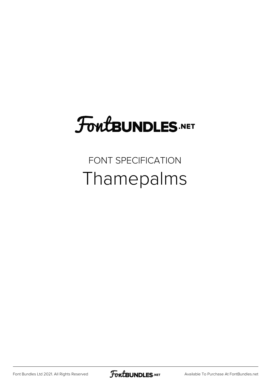# FoutBUNDLES.NET

## FONT SPECIFICATION Thamepalms

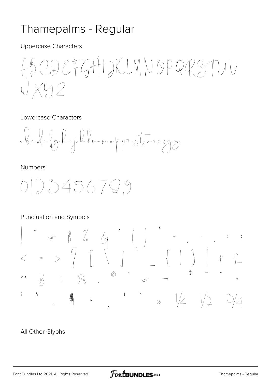### Thamepalms - Regular

**Uppercase Characters** 

BODEFGHJKLMNOPQRSTUV  $WXY92$ 

#### Lowercase Characters

Nedelghyklmnopgraturørg

#### **Numbers**



#### Punctuation and Symbols



#### All Other Glyphs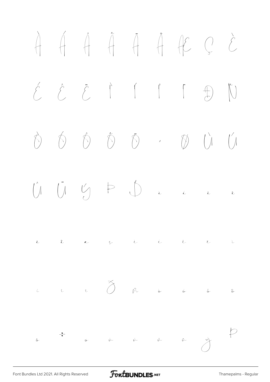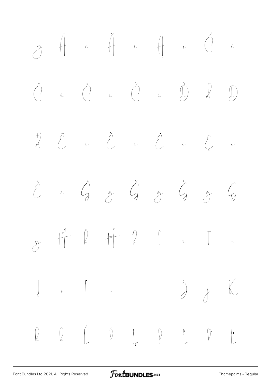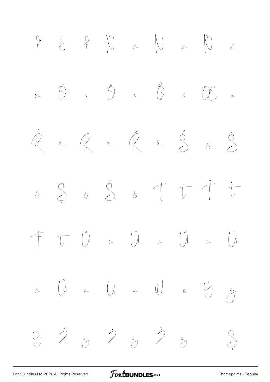

FontBUNDLES.NET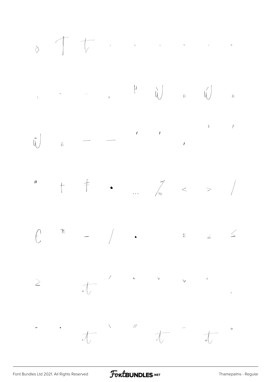